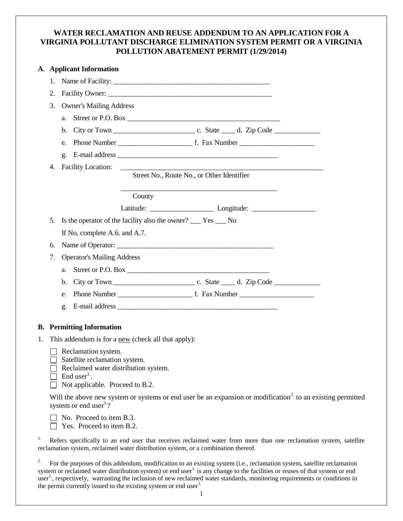# **WATER RECLAMATION AND REUSE ADDENDUM TO AN APPLICATION FOR A VIRGINIA POLLUTANT DISCHARGE ELIMINATION SYSTEM PERMIT OR A VIRGINIA POLLUTION ABATEMENT PERMIT (1/29/2014)**

|    |    | A. Applicant Information                                                                                                                                                                                |
|----|----|---------------------------------------------------------------------------------------------------------------------------------------------------------------------------------------------------------|
|    | 1. | Name of Facility:                                                                                                                                                                                       |
|    | 2. |                                                                                                                                                                                                         |
|    | 3. | <b>Owner's Mailing Address</b>                                                                                                                                                                          |
|    |    | Street or P.O. Box<br>a.                                                                                                                                                                                |
|    |    | b.                                                                                                                                                                                                      |
|    |    | e.                                                                                                                                                                                                      |
|    |    | $\mathbf{g}$ .                                                                                                                                                                                          |
|    | 4. | <b>Facility Location:</b>                                                                                                                                                                               |
|    |    | Street No., Route No., or Other Identifier                                                                                                                                                              |
|    |    | County                                                                                                                                                                                                  |
|    |    |                                                                                                                                                                                                         |
|    | 5. | Is the operator of the facility also the owner? ______ Yes ______ No                                                                                                                                    |
|    |    | If No, complete A.6. and A.7.                                                                                                                                                                           |
|    | 6. |                                                                                                                                                                                                         |
|    | 7. | <b>Operator's Mailing Address</b>                                                                                                                                                                       |
|    |    | a.                                                                                                                                                                                                      |
|    |    | $\mathbf{b}$ .                                                                                                                                                                                          |
|    |    | e.                                                                                                                                                                                                      |
|    |    | g.                                                                                                                                                                                                      |
|    |    |                                                                                                                                                                                                         |
|    |    | <b>B.</b> Permitting Information                                                                                                                                                                        |
| 1. |    | This addendum is for a <u>new</u> (check all that apply):                                                                                                                                               |
|    |    | Reclamation system.<br>Satellite reclamation system.<br>Reclaimed water distribution system.<br>End user <sup>1</sup> .<br>Not applicable. Proceed to B.2.                                              |
|    |    | Will the above new system or systems or end user be an expansion or modification <sup>2</sup> to an existing permitted<br>system or end user $^{1.2}$                                                   |
|    |    | No. Proceed to item B.3.<br>Yes. Proceed to item B.2.                                                                                                                                                   |
| 1. |    | Refers specifically to an end user that receives reclaimed water from more than one reclamation system, satellite<br>reclamation system, reclaimed water distribution system, or a combination thereof. |

<sup>2.</sup> For the purposes of this addendum, modification to an existing system (i.e., reclamation system, satellite reclamation system or reclaimed water distribution system) or end user<sup>1</sup> is any change to the facilities or reuses of that system or end user<sup>1</sup>, respectively, warranting the inclusion of new reclaimed water standards, monitoring requirements or conditions in the permit currently issued to the existing system or end user $1$ .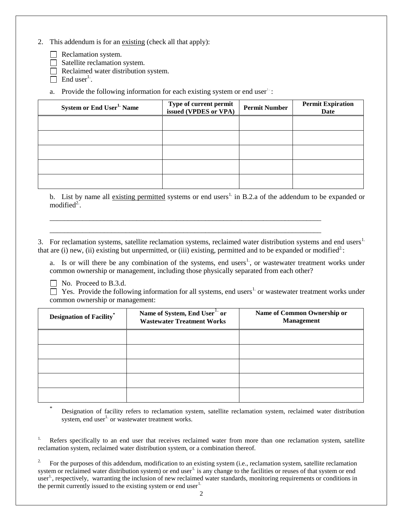- 2. This addendum is for an existing (check all that apply):
	- Reclamation system.
	- Satellite reclamation system.
	- Reclaimed water distribution system.
	- End user $<sup>1</sup>$ .</sup>
	- a. Provide the following information for each existing system or end user  $\cdot$ :

| System or End User <sup>1.</sup> Name | Type of current permit<br>issued (VPDES or VPA) | <b>Permit Number</b> | <b>Permit Expiration</b><br>Date |
|---------------------------------------|-------------------------------------------------|----------------------|----------------------------------|
|                                       |                                                 |                      |                                  |
|                                       |                                                 |                      |                                  |
|                                       |                                                 |                      |                                  |
|                                       |                                                 |                      |                                  |
|                                       |                                                 |                      |                                  |

b. List by name all existing permitted systems or end users<sup>1.</sup> in B.2.a of the addendum to be expanded or  $modified<sup>2</sup>$ .

3. For reclamation systems, satellite reclamation systems, reclaimed water distribution systems and end users<sup>1.</sup> that are (i) new, (ii) existing but unpermitted, or (iii) existing, permitted and to be expanded or modified<sup>2</sup>:

\_\_\_\_\_\_\_\_\_\_\_\_\_\_\_\_\_\_\_\_\_\_\_\_\_\_\_\_\_\_\_\_\_\_\_\_\_\_\_\_\_\_\_\_\_\_\_\_\_\_\_\_\_\_\_\_\_\_\_\_\_\_\_\_\_\_\_\_\_\_\_\_\_\_\_ \_\_\_\_\_\_\_\_\_\_\_\_\_\_\_\_\_\_\_\_\_\_\_\_\_\_\_\_\_\_\_\_\_\_\_\_\_\_\_\_\_\_\_\_\_\_\_\_\_\_\_\_\_\_\_\_\_\_\_\_\_\_\_\_\_\_\_\_\_\_\_\_\_\_\_

a. Is or will there be any combination of the systems, end users<sup>1</sup>, or wastewater treatment works under common ownership or management, including those physically separated from each other?

No. Proceed to B.3.d.

 $\Box$  Yes. Provide the following information for all systems, end users<sup>1</sup> or wastewater treatment works under common ownership or management:

| <b>Designation of Facility*</b> | Name of System, End User <sup>1</sup> or<br><b>Wastewater Treatment Works</b> | Name of Common Ownership or<br><b>Management</b> |
|---------------------------------|-------------------------------------------------------------------------------|--------------------------------------------------|
|                                 |                                                                               |                                                  |
|                                 |                                                                               |                                                  |
|                                 |                                                                               |                                                  |
|                                 |                                                                               |                                                  |
|                                 |                                                                               |                                                  |

\* Designation of facility refers to reclamation system, satellite reclamation system, reclaimed water distribution system, end user $1$  or wastewater treatment works.

<sup>1.</sup> Refers specifically to an end user that receives reclaimed water from more than one reclamation system, satellite reclamation system, reclaimed water distribution system, or a combination thereof.

2. For the purposes of this addendum, modification to an existing system (i.e., reclamation system, satellite reclamation system or reclaimed water distribution system) or end user<sup>1.</sup> is any change to the facilities or reuses of that system or end user<sup>1</sup>, respectively, warranting the inclusion of new reclaimed water standards, monitoring requirements or conditions in the permit currently issued to the existing system or end user<sup>1.</sup>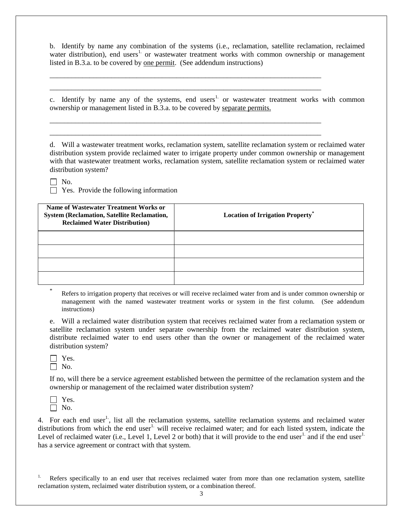b. Identify by name any combination of the systems (i.e., reclamation, satellite reclamation, reclaimed water distribution), end users<sup>1</sup> or wastewater treatment works with common ownership or management listed in B.3.a. to be covered by one permit. (See addendum instructions)

\_\_\_\_\_\_\_\_\_\_\_\_\_\_\_\_\_\_\_\_\_\_\_\_\_\_\_\_\_\_\_\_\_\_\_\_\_\_\_\_\_\_\_\_\_\_\_\_\_\_\_\_\_\_\_\_\_\_\_\_\_\_\_\_\_\_\_\_\_\_\_\_\_\_\_ \_\_\_\_\_\_\_\_\_\_\_\_\_\_\_\_\_\_\_\_\_\_\_\_\_\_\_\_\_\_\_\_\_\_\_\_\_\_\_\_\_\_\_\_\_\_\_\_\_\_\_\_\_\_\_\_\_\_\_\_\_\_\_\_\_\_\_\_\_\_\_\_\_\_\_

\_\_\_\_\_\_\_\_\_\_\_\_\_\_\_\_\_\_\_\_\_\_\_\_\_\_\_\_\_\_\_\_\_\_\_\_\_\_\_\_\_\_\_\_\_\_\_\_\_\_\_\_\_\_\_\_\_\_\_\_\_\_\_\_\_\_\_\_\_\_\_\_\_\_\_ \_\_\_\_\_\_\_\_\_\_\_\_\_\_\_\_\_\_\_\_\_\_\_\_\_\_\_\_\_\_\_\_\_\_\_\_\_\_\_\_\_\_\_\_\_\_\_\_\_\_\_\_\_\_\_\_\_\_\_\_\_\_\_\_\_\_\_\_\_\_\_\_\_\_\_

c. Identify by name any of the systems, end users<sup>1.</sup> or wastewater treatment works with common ownership or management listed in B.3.a. to be covered by separate permits.

d. Will a wastewater treatment works, reclamation system, satellite reclamation system or reclaimed water distribution system provide reclaimed water to irrigate property under common ownership or management with that wastewater treatment works, reclamation system, satellite reclamation system or reclaimed water distribution system?

 $\Box$  No.

 $\Box$  Yes. Provide the following information

| Name of Wastewater Treatment Works or<br><b>System (Reclamation, Satellite Reclamation,</b><br><b>Reclaimed Water Distribution</b> ) | <b>Location of Irrigation Property</b> <sup>*</sup> |
|--------------------------------------------------------------------------------------------------------------------------------------|-----------------------------------------------------|
|                                                                                                                                      |                                                     |
|                                                                                                                                      |                                                     |
|                                                                                                                                      |                                                     |
|                                                                                                                                      |                                                     |

Refers to irrigation property that receives or will receive reclaimed water from and is under common ownership or management with the named wastewater treatment works or system in the first column. (See addendum instructions)

e. Will a reclaimed water distribution system that receives reclaimed water from a reclamation system or satellite reclamation system under separate ownership from the reclaimed water distribution system, distribute reclaimed water to end users other than the owner or management of the reclaimed water distribution system?

 $\Box$  Yes.  $\Box$  No.

\*

If no, will there be a service agreement established between the permittee of the reclamation system and the ownership or management of the reclaimed water distribution system?



4. For each end user<sup>1</sup>, list all the reclamation systems, satellite reclamation systems and reclaimed water distributions from which the end user<sup>1</sup> will receive reclaimed water; and for each listed system, indicate the Level of reclaimed water (i.e., Level 1, Level 2 or both) that it will provide to the end user<sup>1.</sup> and if the end user<sup>1.</sup> has a service agreement or contract with that system.

Refers specifically to an end user that receives reclaimed water from more than one reclamation system, satellite reclamation system, reclaimed water distribution system, or a combination thereof.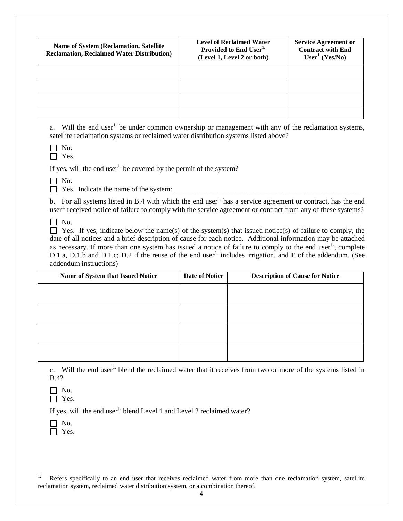| <b>Name of System (Reclamation, Satellite)</b><br><b>Reclamation, Reclaimed Water Distribution)</b> | <b>Level of Reclaimed Water</b><br>Provided to End User <sup>1.</sup><br>(Level 1, Level 2 or both) | <b>Service Agreement or</b><br><b>Contract with End</b><br>User <sup>1</sup> (Yes/No) |
|-----------------------------------------------------------------------------------------------------|-----------------------------------------------------------------------------------------------------|---------------------------------------------------------------------------------------|
|                                                                                                     |                                                                                                     |                                                                                       |
|                                                                                                     |                                                                                                     |                                                                                       |
|                                                                                                     |                                                                                                     |                                                                                       |
|                                                                                                     |                                                                                                     |                                                                                       |

a. Will the end user<sup>1</sup> be under common ownership or management with any of the reclamation systems, satellite reclamation systems or reclaimed water distribution systems listed above?

 $\Box$  No.

□ Yes.

If yes, will the end user<sup>1.</sup> be covered by the permit of the system?

 $\Box$  No.

 $\Box$  Yes. Indicate the name of the system:

b. For all systems listed in B.4 with which the end user<sup>1</sup> has a service agreement or contract, has the end user<sup>1.</sup> received notice of failure to comply with the service agreement or contract from any of these systems?

 $\Box$  No.

 $\Box$  Yes. If yes, indicate below the name(s) of the system(s) that issued notice(s) of failure to comply, the date of all notices and a brief description of cause for each notice. Additional information may be attached as necessary. If more than one system has issued a notice of failure to comply to the end user<sup>1</sup>, complete D.1.a, D.1.b and D.1.c; D.2 if the reuse of the end user<sup>1.</sup> includes irrigation, and E of the addendum. (See addendum instructions)

| Name of System that Issued Notice | Date of Notice | <b>Description of Cause for Notice</b> |
|-----------------------------------|----------------|----------------------------------------|
|                                   |                |                                        |
|                                   |                |                                        |
|                                   |                |                                        |
|                                   |                |                                        |
|                                   |                |                                        |

c. Will the end user<sup>1.</sup> blend the reclaimed water that it receives from two or more of the systems listed in B.4?

 $\Box$  No. □ Yes.

If yes, will the end user<sup>1.</sup> blend Level 1 and Level 2 reclaimed water?

 $\Box$  No. □ Yes.

<sup>1.</sup> Refers specifically to an end user that receives reclaimed water from more than one reclamation system, satellite reclamation system, reclaimed water distribution system, or a combination thereof.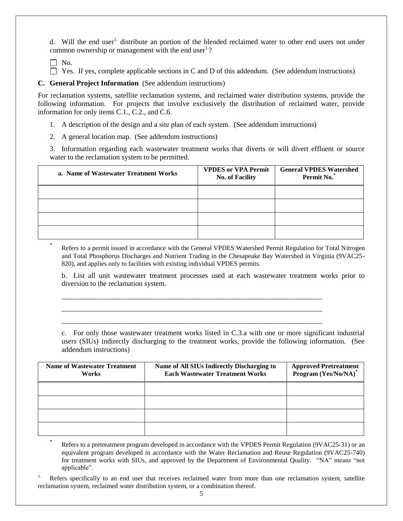d. Will the end user<sup>1</sup> distribute an portion of the blended reclaimed water to other end users not under common ownership or management with the end user $1.2$ .

 $\Box$  No.

\*

\*

 $\Box$  Yes. If yes, complete applicable sections in C and D of this addendum. (See addendum instructions)

## **C. General Project Information** (See addendum instructions)

For reclamation systems, satellite reclamation systems, and reclaimed water distribution systems, provide the following information. For projects that involve exclusively the distribution of reclaimed water, provide information for only items C.1., C.2., and C.6.

1. A description of the design and a site plan of each system. (See addendum instructions)

2. A general location map. (See addendum instructions)

3. Information regarding each wastewater treatment works that diverts or will divert effluent or source water to the reclamation system to be permitted.

| a. Name of Wastewater Treatment Works | <b>VPDES or VPA Permit</b><br><b>No. of Facility</b> | <b>General VPDES Watershed</b><br>Permit No. |
|---------------------------------------|------------------------------------------------------|----------------------------------------------|
|                                       |                                                      |                                              |
|                                       |                                                      |                                              |
|                                       |                                                      |                                              |
|                                       |                                                      |                                              |

Refers to a permit issued in accordance with the General VPDES Watershed Permit Regulation for Total Nitrogen and Total Phosphorus Discharges and Nutrient Trading in the Chesapeake Bay Watershed in Virginia (9VAC25- 820), and applies only to facilities with existing individual VPDES permits.

b. List all unit wastewater treatment processes used at each wastewater treatment works prior to diversion to the reclamation system.

\_\_\_\_\_\_\_\_\_\_\_\_\_\_\_\_\_\_\_\_\_\_\_\_\_\_\_\_\_\_\_\_\_\_\_\_\_\_\_\_\_\_\_\_\_\_\_\_\_\_\_\_\_\_\_\_\_\_\_\_\_\_\_\_\_\_\_\_\_\_\_\_ \_\_\_\_\_\_\_\_\_\_\_\_\_\_\_\_\_\_\_\_\_\_\_\_\_\_\_\_\_\_\_\_\_\_\_\_\_\_\_\_\_\_\_\_\_\_\_\_\_\_\_\_\_\_\_\_\_\_\_\_\_\_\_\_\_\_\_\_\_\_\_\_ \_\_\_\_\_\_\_\_\_\_\_\_\_\_\_\_\_\_\_\_\_\_\_\_\_\_\_\_\_\_\_\_\_\_\_\_\_\_\_\_\_\_\_\_\_\_\_\_\_\_\_\_\_\_\_\_\_\_\_\_\_\_\_\_\_\_\_\_\_\_\_\_

c. For only those wastewater treatment works listed in C.3.a with one or more significant industrial users (SIUs) indirectly discharging to the treatment works, provide the following information. (See addendum instructions)

| <b>Name of Wastewater Treatment</b><br>Works | Name of All SIUs Indirectly Discharging to<br><b>Each Wastewater Treatment Works</b> | <b>Approved Pretreatment</b><br>Program (Yes/No/NA)* |
|----------------------------------------------|--------------------------------------------------------------------------------------|------------------------------------------------------|
|                                              |                                                                                      |                                                      |
|                                              |                                                                                      |                                                      |
|                                              |                                                                                      |                                                      |
|                                              |                                                                                      |                                                      |

Refers to a pretreatment program developed in accordance with the VPDES Permit Regulation (9VAC25-31) or an equivalent program developed in accordance with the Water Reclamation and Reuse Regulation (9VAC25-740) for treatment works with SIUs, and approved by the Department of Environmental Quality. "NA" means "not applicable".

Refers specifically to an end user that receives reclaimed water from more than one reclamation system, satellite reclamation system, reclaimed water distribution system, or a combination thereof.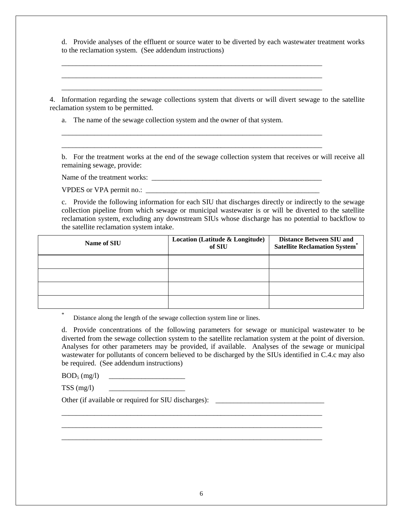d. Provide analyses of the effluent or source water to be diverted by each wastewater treatment works to the reclamation system. (See addendum instructions)

4. Information regarding the sewage collections system that diverts or will divert sewage to the satellite reclamation system to be permitted.

\_\_\_\_\_\_\_\_\_\_\_\_\_\_\_\_\_\_\_\_\_\_\_\_\_\_\_\_\_\_\_\_\_\_\_\_\_\_\_\_\_\_\_\_\_\_\_\_\_\_\_\_\_\_\_\_\_\_\_\_\_\_\_\_\_\_\_\_\_\_\_\_ \_\_\_\_\_\_\_\_\_\_\_\_\_\_\_\_\_\_\_\_\_\_\_\_\_\_\_\_\_\_\_\_\_\_\_\_\_\_\_\_\_\_\_\_\_\_\_\_\_\_\_\_\_\_\_\_\_\_\_\_\_\_\_\_\_\_\_\_\_\_\_\_ \_\_\_\_\_\_\_\_\_\_\_\_\_\_\_\_\_\_\_\_\_\_\_\_\_\_\_\_\_\_\_\_\_\_\_\_\_\_\_\_\_\_\_\_\_\_\_\_\_\_\_\_\_\_\_\_\_\_\_\_\_\_\_\_\_\_\_\_\_\_\_\_

\_\_\_\_\_\_\_\_\_\_\_\_\_\_\_\_\_\_\_\_\_\_\_\_\_\_\_\_\_\_\_\_\_\_\_\_\_\_\_\_\_\_\_\_\_\_\_\_\_\_\_\_\_\_\_\_\_\_\_\_\_\_\_\_\_\_\_\_\_\_\_\_ \_\_\_\_\_\_\_\_\_\_\_\_\_\_\_\_\_\_\_\_\_\_\_\_\_\_\_\_\_\_\_\_\_\_\_\_\_\_\_\_\_\_\_\_\_\_\_\_\_\_\_\_\_\_\_\_\_\_\_\_\_\_\_\_\_\_\_\_\_\_\_\_

a. The name of the sewage collection system and the owner of that system.

b. For the treatment works at the end of the sewage collection system that receives or will receive all remaining sewage, provide:

Name of the treatment works: \_\_\_\_\_\_\_\_\_\_\_\_\_\_\_\_\_\_\_\_\_\_\_\_\_\_\_\_\_\_\_\_\_\_\_\_\_\_\_\_\_\_\_\_\_\_\_

VPDES or VPA permit no.:

c. Provide the following information for each SIU that discharges directly or indirectly to the sewage collection pipeline from which sewage or municipal wastewater is or will be diverted to the satellite reclamation system, excluding any downstream SIUs whose discharge has no potential to backflow to the satellite reclamation system intake.

| Name of SIU | Location (Latitude & Longitude)<br>of SIU | <b>Distance Between SIU and</b><br><b>Satellite Reclamation System®</b> |
|-------------|-------------------------------------------|-------------------------------------------------------------------------|
|             |                                           |                                                                         |
|             |                                           |                                                                         |
|             |                                           |                                                                         |
|             |                                           |                                                                         |

Distance along the length of the sewage collection system line or lines.

d. Provide concentrations of the following parameters for sewage or municipal wastewater to be diverted from the sewage collection system to the satellite reclamation system at the point of diversion. Analyses for other parameters may be provided, if available. Analyses of the sewage or municipal wastewater for pollutants of concern believed to be discharged by the SIUs identified in C.4.c may also be required. (See addendum instructions)

 $BOD_5$  (mg/l)

TSS  $(mg/l)$ 

\*

Other (if available or required for SIU discharges): \_\_\_\_\_\_\_\_\_\_\_\_\_\_\_\_\_\_\_\_\_\_\_\_\_\_\_

\_\_\_\_\_\_\_\_\_\_\_\_\_\_\_\_\_\_\_\_\_\_\_\_\_\_\_\_\_\_\_\_\_\_\_\_\_\_\_\_\_\_\_\_\_\_\_\_\_\_\_\_\_\_\_\_\_\_\_\_\_\_\_\_\_\_\_\_\_\_\_\_ \_\_\_\_\_\_\_\_\_\_\_\_\_\_\_\_\_\_\_\_\_\_\_\_\_\_\_\_\_\_\_\_\_\_\_\_\_\_\_\_\_\_\_\_\_\_\_\_\_\_\_\_\_\_\_\_\_\_\_\_\_\_\_\_\_\_\_\_\_\_\_\_ \_\_\_\_\_\_\_\_\_\_\_\_\_\_\_\_\_\_\_\_\_\_\_\_\_\_\_\_\_\_\_\_\_\_\_\_\_\_\_\_\_\_\_\_\_\_\_\_\_\_\_\_\_\_\_\_\_\_\_\_\_\_\_\_\_\_\_\_\_\_\_\_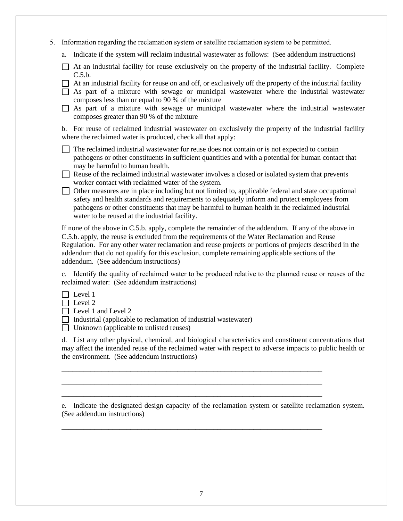- 5. Information regarding the reclamation system or satellite reclamation system to be permitted.
	- a. Indicate if the system will reclaim industrial wastewater as follows: (See addendum instructions)
	- $\Box$  At an industrial facility for reuse exclusively on the property of the industrial facility. Complete C.5.b.
	- $\Box$  At an industrial facility for reuse on and off, or exclusively off the property of the industrial facility
	- $\Box$  As part of a mixture with sewage or municipal wastewater where the industrial wastewater composes less than or equal to 90 % of the mixture
	- $\Box$  As part of a mixture with sewage or municipal wastewater where the industrial wastewater composes greater than 90 % of the mixture

b. For reuse of reclaimed industrial wastewater on exclusively the property of the industrial facility where the reclaimed water is produced, check all that apply:

- The reclaimed industrial wastewater for reuse does not contain or is not expected to contain pathogens or other constituents in sufficient quantities and with a potential for human contact that may be harmful to human health.
- $\Box$  Reuse of the reclaimed industrial wastewater involves a closed or isolated system that prevents worker contact with reclaimed water of the system.
- Other measures are in place including but not limited to, applicable federal and state occupational safety and health standards and requirements to adequately inform and protect employees from pathogens or other constituents that may be harmful to human health in the reclaimed industrial water to be reused at the industrial facility.

If none of the above in C.5.b. apply, complete the remainder of the addendum. If any of the above in C.5.b. apply, the reuse is excluded from the requirements of the Water Reclamation and Reuse Regulation. For any other water reclamation and reuse projects or portions of projects described in the addendum that do not qualify for this exclusion, complete remaining applicable sections of the addendum. (See addendum instructions)

c. Identify the quality of reclaimed water to be produced relative to the planned reuse or reuses of the reclaimed water: (See addendum instructions)

 $\Box$  Level 1

 $\Box$  Level 2

Level 1 and Level 2

- $\Box$  Industrial (applicable to reclamation of industrial wastewater)
- $\Box$  Unknown (applicable to unlisted reuses)

d. List any other physical, chemical, and biological characteristics and constituent concentrations that may affect the intended reuse of the reclaimed water with respect to adverse impacts to public health or the environment. (See addendum instructions)

\_\_\_\_\_\_\_\_\_\_\_\_\_\_\_\_\_\_\_\_\_\_\_\_\_\_\_\_\_\_\_\_\_\_\_\_\_\_\_\_\_\_\_\_\_\_\_\_\_\_\_\_\_\_\_\_\_\_\_\_\_\_\_\_\_\_\_\_\_\_\_\_ \_\_\_\_\_\_\_\_\_\_\_\_\_\_\_\_\_\_\_\_\_\_\_\_\_\_\_\_\_\_\_\_\_\_\_\_\_\_\_\_\_\_\_\_\_\_\_\_\_\_\_\_\_\_\_\_\_\_\_\_\_\_\_\_\_\_\_\_\_\_\_\_ \_\_\_\_\_\_\_\_\_\_\_\_\_\_\_\_\_\_\_\_\_\_\_\_\_\_\_\_\_\_\_\_\_\_\_\_\_\_\_\_\_\_\_\_\_\_\_\_\_\_\_\_\_\_\_\_\_\_\_\_\_\_\_\_\_\_\_\_\_\_\_\_

\_\_\_\_\_\_\_\_\_\_\_\_\_\_\_\_\_\_\_\_\_\_\_\_\_\_\_\_\_\_\_\_\_\_\_\_\_\_\_\_\_\_\_\_\_\_\_\_\_\_\_\_\_\_\_\_\_\_\_\_\_\_\_\_\_\_\_\_\_\_\_\_

e. Indicate the designated design capacity of the reclamation system or satellite reclamation system. (See addendum instructions)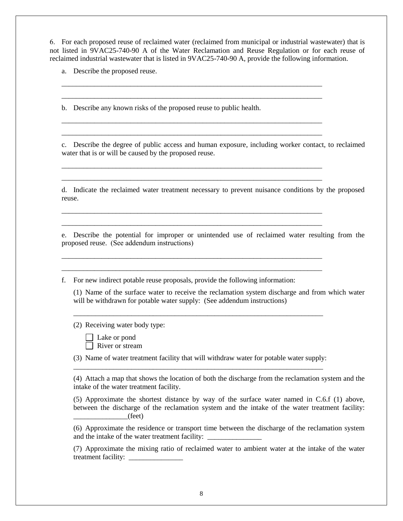6. For each proposed reuse of reclaimed water (reclaimed from municipal or industrial wastewater) that is not listed in 9VAC25-740-90 A of the Water Reclamation and Reuse Regulation or for each reuse of reclaimed industrial wastewater that is listed in 9VAC25-740-90 A, provide the following information.

\_\_\_\_\_\_\_\_\_\_\_\_\_\_\_\_\_\_\_\_\_\_\_\_\_\_\_\_\_\_\_\_\_\_\_\_\_\_\_\_\_\_\_\_\_\_\_\_\_\_\_\_\_\_\_\_\_\_\_\_\_\_\_\_\_\_\_\_\_\_\_\_ \_\_\_\_\_\_\_\_\_\_\_\_\_\_\_\_\_\_\_\_\_\_\_\_\_\_\_\_\_\_\_\_\_\_\_\_\_\_\_\_\_\_\_\_\_\_\_\_\_\_\_\_\_\_\_\_\_\_\_\_\_\_\_\_\_\_\_\_\_\_\_\_

\_\_\_\_\_\_\_\_\_\_\_\_\_\_\_\_\_\_\_\_\_\_\_\_\_\_\_\_\_\_\_\_\_\_\_\_\_\_\_\_\_\_\_\_\_\_\_\_\_\_\_\_\_\_\_\_\_\_\_\_\_\_\_\_\_\_\_\_\_\_\_\_ \_\_\_\_\_\_\_\_\_\_\_\_\_\_\_\_\_\_\_\_\_\_\_\_\_\_\_\_\_\_\_\_\_\_\_\_\_\_\_\_\_\_\_\_\_\_\_\_\_\_\_\_\_\_\_\_\_\_\_\_\_\_\_\_\_\_\_\_\_\_\_\_

\_\_\_\_\_\_\_\_\_\_\_\_\_\_\_\_\_\_\_\_\_\_\_\_\_\_\_\_\_\_\_\_\_\_\_\_\_\_\_\_\_\_\_\_\_\_\_\_\_\_\_\_\_\_\_\_\_\_\_\_\_\_\_\_\_\_\_\_\_\_\_\_ \_\_\_\_\_\_\_\_\_\_\_\_\_\_\_\_\_\_\_\_\_\_\_\_\_\_\_\_\_\_\_\_\_\_\_\_\_\_\_\_\_\_\_\_\_\_\_\_\_\_\_\_\_\_\_\_\_\_\_\_\_\_\_\_\_\_\_\_\_\_\_\_

\_\_\_\_\_\_\_\_\_\_\_\_\_\_\_\_\_\_\_\_\_\_\_\_\_\_\_\_\_\_\_\_\_\_\_\_\_\_\_\_\_\_\_\_\_\_\_\_\_\_\_\_\_\_\_\_\_\_\_\_\_\_\_\_\_\_\_\_\_\_\_\_ \_\_\_\_\_\_\_\_\_\_\_\_\_\_\_\_\_\_\_\_\_\_\_\_\_\_\_\_\_\_\_\_\_\_\_\_\_\_\_\_\_\_\_\_\_\_\_\_\_\_\_\_\_\_\_\_\_\_\_\_\_\_\_\_\_\_\_\_\_\_\_\_

\_\_\_\_\_\_\_\_\_\_\_\_\_\_\_\_\_\_\_\_\_\_\_\_\_\_\_\_\_\_\_\_\_\_\_\_\_\_\_\_\_\_\_\_\_\_\_\_\_\_\_\_\_\_\_\_\_\_\_\_\_\_\_\_\_\_\_\_\_\_\_\_ \_\_\_\_\_\_\_\_\_\_\_\_\_\_\_\_\_\_\_\_\_\_\_\_\_\_\_\_\_\_\_\_\_\_\_\_\_\_\_\_\_\_\_\_\_\_\_\_\_\_\_\_\_\_\_\_\_\_\_\_\_\_\_\_\_\_\_\_\_\_\_\_

a. Describe the proposed reuse.

b. Describe any known risks of the proposed reuse to public health.

c. Describe the degree of public access and human exposure, including worker contact, to reclaimed water that is or will be caused by the proposed reuse.

d. Indicate the reclaimed water treatment necessary to prevent nuisance conditions by the proposed reuse.

e. Describe the potential for improper or unintended use of reclaimed water resulting from the proposed reuse. (See addendum instructions)

f. For new indirect potable reuse proposals, provide the following information:

(1) Name of the surface water to receive the reclamation system discharge and from which water will be withdrawn for potable water supply: (See addendum instructions)

(2) Receiving water body type:

Lake or pond

River or stream

(3) Name of water treatment facility that will withdraw water for potable water supply: \_\_\_\_\_\_\_\_\_\_\_\_\_\_\_\_\_\_\_\_\_\_\_\_\_\_\_\_\_\_\_\_\_\_\_\_\_\_\_\_\_\_\_\_\_\_\_\_\_\_\_\_\_\_\_\_\_\_\_\_\_\_\_\_\_\_\_\_\_

\_\_\_\_\_\_\_\_\_\_\_\_\_\_\_\_\_\_\_\_\_\_\_\_\_\_\_\_\_\_\_\_\_\_\_\_\_\_\_\_\_\_\_\_\_\_\_\_\_\_\_\_\_\_\_\_\_\_\_\_\_\_\_\_\_\_\_\_\_

(4) Attach a map that shows the location of both the discharge from the reclamation system and the intake of the water treatment facility.

(5) Approximate the shortest distance by way of the surface water named in C.6.f (1) above, between the discharge of the reclamation system and the intake of the water treatment facility:  $\rule{1em}{0.15mm} (feet)$ 

(6) Approximate the residence or transport time between the discharge of the reclamation system and the intake of the water treatment facility:  $\Box$ 

(7) Approximate the mixing ratio of reclaimed water to ambient water at the intake of the water treatment facility: \_\_\_\_\_\_\_\_\_\_\_\_\_\_\_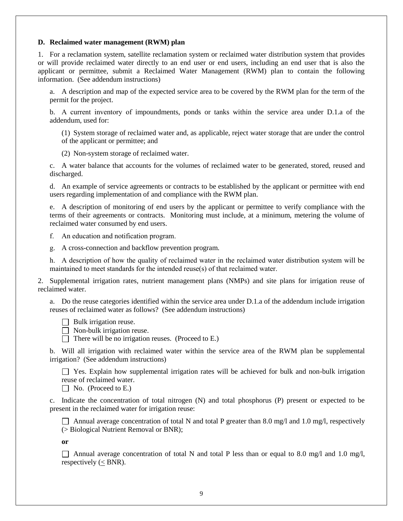#### **D. Reclaimed water management (RWM) plan**

1. For a reclamation system, satellite reclamation system or reclaimed water distribution system that provides or will provide reclaimed water directly to an end user or end users, including an end user that is also the applicant or permittee, submit a Reclaimed Water Management (RWM) plan to contain the following information. (See addendum instructions)

a. A description and map of the expected service area to be covered by the RWM plan for the term of the permit for the project.

b. A current inventory of impoundments, ponds or tanks within the service area under D.1.a of the addendum, used for:

(1) System storage of reclaimed water and, as applicable, reject water storage that are under the control of the applicant or permittee; and

(2) Non-system storage of reclaimed water.

c. A water balance that accounts for the volumes of reclaimed water to be generated, stored, reused and discharged.

d. An example of service agreements or contracts to be established by the applicant or permittee with end users regarding implementation of and compliance with the RWM plan.

e. A description of monitoring of end users by the applicant or permittee to verify compliance with the terms of their agreements or contracts. Monitoring must include, at a minimum, metering the volume of reclaimed water consumed by end users.

f. An education and notification program.

g. A cross-connection and backflow prevention program.

h. A description of how the quality of reclaimed water in the reclaimed water distribution system will be maintained to meet standards for the intended reuse(s) of that reclaimed water.

2. Supplemental irrigation rates, nutrient management plans (NMPs) and site plans for irrigation reuse of reclaimed water.

a. Do the reuse categories identified within the service area under D.1.a of the addendum include irrigation reuses of reclaimed water as follows? (See addendum instructions)

 $\Box$  Bulk irrigation reuse.

 $\Box$  Non-bulk irrigation reuse.

There will be no irrigation reuses. (Proceed to E.)

b. Will all irrigation with reclaimed water within the service area of the RWM plan be supplemental irrigation? (See addendum instructions)

 $\Box$  Yes. Explain how supplemental irrigation rates will be achieved for bulk and non-bulk irrigation reuse of reclaimed water.

 $\Box$  No. (Proceed to E.)

c. Indicate the concentration of total nitrogen (N) and total phosphorus (P) present or expected to be present in the reclaimed water for irrigation reuse:

Annual average concentration of total N and total P greater than 8.0 mg/l and 1.0 mg/l, respectively (> Biological Nutrient Removal or BNR);

**or**

Annual average concentration of total N and total P less than or equal to 8.0 mg/l and 1.0 mg/l, respectively ( $\leq$  BNR).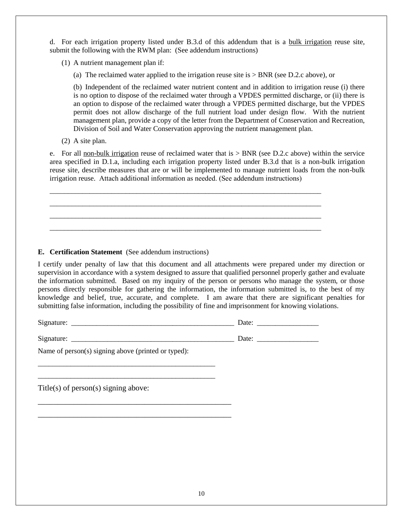d. For each irrigation property listed under B.3.d of this addendum that is a bulk irrigation reuse site, submit the following with the RWM plan: (See addendum instructions)

(1) A nutrient management plan if:

(a) The reclaimed water applied to the irrigation reuse site is > BNR (see D.2.c above), or

(b) Independent of the reclaimed water nutrient content and in addition to irrigation reuse (i) there is no option to dispose of the reclaimed water through a VPDES permitted discharge, or (ii) there is an option to dispose of the reclaimed water through a VPDES permitted discharge, but the VPDES permit does not allow discharge of the full nutrient load under design flow. With the nutrient management plan, provide a copy of the letter from the Department of Conservation and Recreation, Division of Soil and Water Conservation approving the nutrient management plan.

(2) A site plan.

e. For all non-bulk irrigation reuse of reclaimed water that is  $>$  BNR (see D.2.c above) within the service area specified in D.1.a, including each irrigation property listed under B.3.d that is a non-bulk irrigation reuse site, describe measures that are or will be implemented to manage nutrient loads from the non-bulk irrigation reuse. Attach additional information as needed. (See addendum instructions)

\_\_\_\_\_\_\_\_\_\_\_\_\_\_\_\_\_\_\_\_\_\_\_\_\_\_\_\_\_\_\_\_\_\_\_\_\_\_\_\_\_\_\_\_\_\_\_\_\_\_\_\_\_\_\_\_\_\_\_\_\_\_\_\_\_\_\_\_\_\_\_\_\_\_\_ \_\_\_\_\_\_\_\_\_\_\_\_\_\_\_\_\_\_\_\_\_\_\_\_\_\_\_\_\_\_\_\_\_\_\_\_\_\_\_\_\_\_\_\_\_\_\_\_\_\_\_\_\_\_\_\_\_\_\_\_\_\_\_\_\_\_\_\_\_\_\_\_\_\_\_ \_\_\_\_\_\_\_\_\_\_\_\_\_\_\_\_\_\_\_\_\_\_\_\_\_\_\_\_\_\_\_\_\_\_\_\_\_\_\_\_\_\_\_\_\_\_\_\_\_\_\_\_\_\_\_\_\_\_\_\_\_\_\_\_\_\_\_\_\_\_\_\_\_\_\_ \_\_\_\_\_\_\_\_\_\_\_\_\_\_\_\_\_\_\_\_\_\_\_\_\_\_\_\_\_\_\_\_\_\_\_\_\_\_\_\_\_\_\_\_\_\_\_\_\_\_\_\_\_\_\_\_\_\_\_\_\_\_\_\_\_\_\_\_\_\_\_\_\_\_\_

**E. Certification Statement** (See addendum instructions)

\_\_\_\_\_\_\_\_\_\_\_\_\_\_\_\_\_\_\_\_\_\_\_\_\_\_\_\_\_\_\_\_\_\_\_\_\_\_\_\_\_\_\_\_\_\_\_\_\_ \_\_\_\_\_\_\_\_\_\_\_\_\_\_\_\_\_\_\_\_\_\_\_\_\_\_\_\_\_\_\_\_\_\_\_\_\_\_\_\_\_\_\_\_\_\_\_\_\_

\_\_\_\_\_\_\_\_\_\_\_\_\_\_\_\_\_\_\_\_\_\_\_\_\_\_\_\_\_\_\_\_\_\_\_\_\_\_\_\_\_\_\_\_\_\_\_\_\_ \_\_\_\_\_\_\_\_\_\_\_\_\_\_\_\_\_\_\_\_\_\_\_\_\_\_\_\_\_\_\_\_\_\_\_\_\_\_\_\_\_\_\_\_\_\_\_\_\_

I certify under penalty of law that this document and all attachments were prepared under my direction or supervision in accordance with a system designed to assure that qualified personnel properly gather and evaluate the information submitted. Based on my inquiry of the person or persons who manage the system, or those persons directly responsible for gathering the information, the information submitted is, to the best of my knowledge and belief, true, accurate, and complete. I am aware that there are significant penalties for submitting false information, including the possibility of fine and imprisonment for knowing violations.

Signature: \_\_\_\_\_\_\_\_\_\_\_\_\_\_\_\_\_\_\_\_\_\_\_\_\_\_\_\_\_\_\_\_\_\_\_\_\_\_\_\_\_\_\_\_\_ Date: \_\_\_\_\_\_\_\_\_\_\_\_\_\_\_\_\_

Signature: \_\_\_\_\_\_\_\_\_\_\_\_\_\_\_\_\_\_\_\_\_\_\_\_\_\_\_\_\_\_\_\_\_\_\_\_\_\_\_\_\_\_\_\_\_ Date: \_\_\_\_\_\_\_\_\_\_\_\_\_\_\_\_\_

Name of person(s) signing above (printed or typed):

Title(s) of person(s) signing above: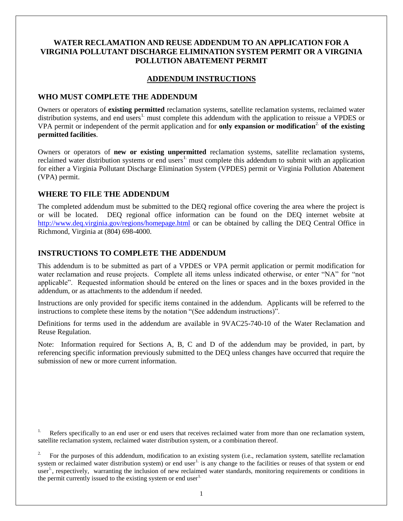## **WATER RECLAMATION AND REUSE ADDENDUM TO AN APPLICATION FOR A VIRGINIA POLLUTANT DISCHARGE ELIMINATION SYSTEM PERMIT OR A VIRGINIA POLLUTION ABATEMENT PERMIT**

### **ADDENDUM INSTRUCTIONS**

### **WHO MUST COMPLETE THE ADDENDUM**

Owners or operators of **existing permitted** reclamation systems, satellite reclamation systems, reclaimed water distribution systems, and end users<sup>1.</sup> must complete this addendum with the application to reissue a VPDES or VPA permit or independent of the permit application and for **only expansion or modification**2. **of the existing permitted facilities**.

Owners or operators of **new or existing unpermitted** reclamation systems, satellite reclamation systems, reclaimed water distribution systems or end users<sup>1</sup> must complete this addendum to submit with an application for either a Virginia Pollutant Discharge Elimination System (VPDES) permit or Virginia Pollution Abatement (VPA) permit.

## **WHERE TO FILE THE ADDENDUM**

The completed addendum must be submitted to the DEQ regional office covering the area where the project is or will be located. DEQ regional office information can be found on the DEQ internet website at <http://www.deq.virginia.gov/regions/homepage.html> or can be obtained by calling the DEQ Central Office in Richmond, Virginia at (804) 698-4000.

## **INSTRUCTIONS TO COMPLETE THE ADDENDUM**

This addendum is to be submitted as part of a VPDES or VPA permit application or permit modification for water reclamation and reuse projects. Complete all items unless indicated otherwise, or enter "NA" for "not applicable". Requested information should be entered on the lines or spaces and in the boxes provided in the addendum, or as attachments to the addendum if needed.

Instructions are only provided for specific items contained in the addendum. Applicants will be referred to the instructions to complete these items by the notation "(See addendum instructions)".

Definitions for terms used in the addendum are available in 9VAC25-740-10 of the Water Reclamation and Reuse Regulation.

Note: Information required for Sections A, B, C and D of the addendum may be provided, in part, by referencing specific information previously submitted to the DEQ unless changes have occurred that require the submission of new or more current information.

<sup>1.</sup> Refers specifically to an end user or end users that receives reclaimed water from more than one reclamation system, satellite reclamation system, reclaimed water distribution system, or a combination thereof.

2. For the purposes of this addendum, modification to an existing system (i.e., reclamation system, satellite reclamation system or reclaimed water distribution system) or end user<sup>1.</sup> is any change to the facilities or reuses of that system or end user<sup>1</sup>, respectively, warranting the inclusion of new reclaimed water standards, monitoring requirements or conditions in the permit currently issued to the existing system or end user<sup>1.</sup>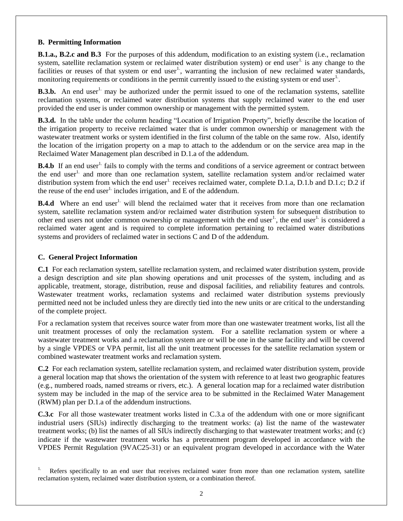### **B. Permitting Information**

**B.1.a., B.2.c and B.3** For the purposes of this addendum, modification to an existing system (i.e., reclamation system, satellite reclamation system or reclaimed water distribution system) or end user<sup>1.</sup> is any change to the facilities or reuses of that system or end user<sup>1</sup>, warranting the inclusion of new reclaimed water standards, monitoring requirements or conditions in the permit currently issued to the existing system or end user<sup>1</sup>.

**B.3.b.** An end user<sup>1</sup> may be authorized under the permit issued to one of the reclamation systems, satellite reclamation systems, or reclaimed water distribution systems that supply reclaimed water to the end user provided the end user is under common ownership or management with the permitted system.

**B.3.d.** In the table under the column heading "Location of Irrigation Property", briefly describe the location of the irrigation property to receive reclaimed water that is under common ownership or management with the wastewater treatment works or system identified in the first column of the table on the same row. Also, identify the location of the irrigation property on a map to attach to the addendum or on the service area map in the Reclaimed Water Management plan described in D.1.a of the addendum.

**B.4.b** If an end user<sup>1.</sup> fails to comply with the terms and conditions of a service agreement or contract between the end user<sup>1.</sup> and more than one reclamation system, satellite reclamation system and/or reclaimed water distribution system from which the end user<sup>1.</sup> receives reclaimed water, complete D.1.a, D.1.b and D.1.c; D.2 if the reuse of the end user<sup>1.</sup> includes irrigation, and  $E$  of the addendum.

**B.4.d** Where an end user<sup>1.</sup> will blend the reclaimed water that it receives from more than one reclamation system, satellite reclamation system and/or reclaimed water distribution system for subsequent distribution to other end users not under common ownership or management with the end user<sup>1</sup>, the end user<sup>1</sup> is considered a reclaimed water agent and is required to complete information pertaining to reclaimed water distributions systems and providers of reclaimed water in sections C and D of the addendum.

### **C. General Project Information**

**C.1** For each reclamation system, satellite reclamation system, and reclaimed water distribution system, provide a design description and site plan showing operations and unit processes of the system, including and as applicable, treatment, storage, distribution, reuse and disposal facilities, and reliability features and controls. Wastewater treatment works, reclamation systems and reclaimed water distribution systems previously permitted need not be included unless they are directly tied into the new units or are critical to the understanding of the complete project.

For a reclamation system that receives source water from more than one wastewater treatment works, list all the unit treatment processes of only the reclamation system. For a satellite reclamation system or where a wastewater treatment works and a reclamation system are or will be one in the same facility and will be covered by a single VPDES or VPA permit, list all the unit treatment processes for the satellite reclamation system or combined wastewater treatment works and reclamation system.

**C.2** For each reclamation system, satellite reclamation system, and reclaimed water distribution system, provide a general location map that shows the orientation of the system with reference to at least two geographic features (e.g., numbered roads, named streams or rivers, etc.). A general location map for a reclaimed water distribution system may be included in the map of the service area to be submitted in the Reclaimed Water Management (RWM) plan per D.1.a of the addendum instructions.

**C.3.c** For all those wastewater treatment works listed in C.3.a of the addendum with one or more significant industrial users (SIUs) indirectly discharging to the treatment works: (a) list the name of the wastewater treatment works; (b) list the names of all SIUs indirectly discharging to that wastewater treatment works; and (c) indicate if the wastewater treatment works has a pretreatment program developed in accordance with the VPDES Permit Regulation (9VAC25-31) or an equivalent program developed in accordance with the Water

Refers specifically to an end user that receives reclaimed water from more than one reclamation system, satellite reclamation system, reclaimed water distribution system, or a combination thereof.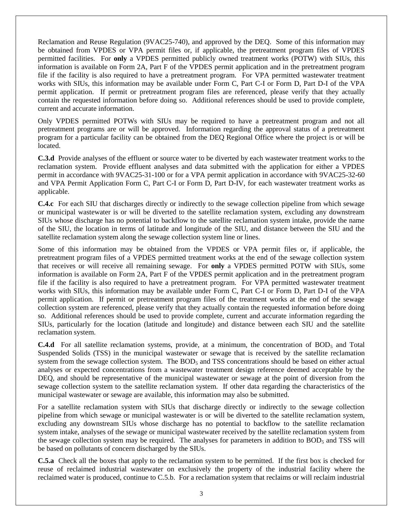Reclamation and Reuse Regulation (9VAC25-740), and approved by the DEQ. Some of this information may be obtained from VPDES or VPA permit files or, if applicable, the pretreatment program files of VPDES permitted facilities. For **only** a VPDES permitted publicly owned treatment works (POTW) with SIUs, this information is available on Form 2A, Part F of the VPDES permit application and in the pretreatment program file if the facility is also required to have a pretreatment program. For VPA permitted wastewater treatment works with SIUs, this information may be available under Form C, Part C-I or Form D, Part D-I of the VPA permit application. If permit or pretreatment program files are referenced, please verify that they actually contain the requested information before doing so. Additional references should be used to provide complete, current and accurate information.

Only VPDES permitted POTWs with SIUs may be required to have a pretreatment program and not all pretreatment programs are or will be approved. Information regarding the approval status of a pretreatment program for a particular facility can be obtained from the DEQ Regional Office where the project is or will be located.

**C.3.d** Provide analyses of the effluent or source water to be diverted by each wastewater treatment works to the reclamation system. Provide effluent analyses and data submitted with the application for either a VPDES permit in accordance with 9VAC25-31-100 or for a VPA permit application in accordance with 9VAC25-32-60 and VPA Permit Application Form C, Part C-I or Form D, Part D-IV, for each wastewater treatment works as applicable.

**C.4.c** For each SIU that discharges directly or indirectly to the sewage collection pipeline from which sewage or municipal wastewater is or will be diverted to the satellite reclamation system, excluding any downstream SIUs whose discharge has no potential to backflow to the satellite reclamation system intake, provide the name of the SIU, the location in terms of latitude and longitude of the SIU, and distance between the SIU and the satellite reclamation system along the sewage collection system line or lines.

Some of this information may be obtained from the VPDES or VPA permit files or, if applicable, the pretreatment program files of a VPDES permitted treatment works at the end of the sewage collection system that receives or will receive all remaining sewage. For **only** a VPDES permitted POTW with SIUs, some information is available on Form 2A, Part F of the VPDES permit application and in the pretreatment program file if the facility is also required to have a pretreatment program. For VPA permitted wastewater treatment works with SIUs, this information may be available under Form C, Part C-I or Form D, Part D-I of the VPA permit application. If permit or pretreatment program files of the treatment works at the end of the sewage collection system are referenced, please verify that they actually contain the requested information before doing so. Additional references should be used to provide complete, current and accurate information regarding the SIUs, particularly for the location (latitude and longitude) and distance between each SIU and the satellite reclamation system.

**C.4.d** For all satellite reclamation systems, provide, at a minimum, the concentration of BOD<sub>5</sub> and Total Suspended Solids (TSS) in the municipal wastewater or sewage that is received by the satellite reclamation system from the sewage collection system. The BOD<sub>5</sub> and TSS concentrations should be based on either actual analyses or expected concentrations from a wastewater treatment design reference deemed acceptable by the DEQ, and should be representative of the municipal wastewater or sewage at the point of diversion from the sewage collection system to the satellite reclamation system. If other data regarding the characteristics of the municipal wastewater or sewage are available, this information may also be submitted.

For a satellite reclamation system with SIUs that discharge directly or indirectly to the sewage collection pipeline from which sewage or municipal wastewater is or will be diverted to the satellite reclamation system, excluding any downstream SIUs whose discharge has no potential to backflow to the satellite reclamation system intake, analyses of the sewage or municipal wastewater received by the satellite reclamation system from the sewage collection system may be required. The analyses for parameters in addition to  $BOD<sub>5</sub>$  and TSS will be based on pollutants of concern discharged by the SIUs.

**C.5.a** Check all the boxes that apply to the reclamation system to be permitted. If the first box is checked for reuse of reclaimed industrial wastewater on exclusively the property of the industrial facility where the reclaimed water is produced, continue to C.5.b. For a reclamation system that reclaims or will reclaim industrial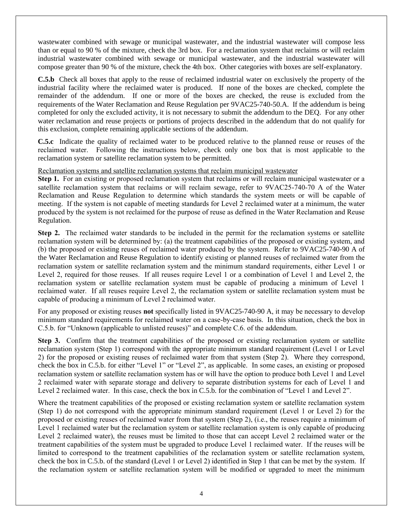wastewater combined with sewage or municipal wastewater, and the industrial wastewater will compose less than or equal to 90 % of the mixture, check the 3rd box. For a reclamation system that reclaims or will reclaim industrial wastewater combined with sewage or municipal wastewater, and the industrial wastewater will compose greater than 90 % of the mixture, check the 4th box. Other categories with boxes are self-explanatory.

**C.5.b** Check all boxes that apply to the reuse of reclaimed industrial water on exclusively the property of the industrial facility where the reclaimed water is produced. If none of the boxes are checked, complete the remainder of the addendum. If one or more of the boxes are checked, the reuse is excluded from the requirements of the Water Reclamation and Reuse Regulation per 9VAC25-740-50.A. If the addendum is being completed for only the excluded activity, it is not necessary to submit the addendum to the DEQ. For any other water reclamation and reuse projects or portions of projects described in the addendum that do not qualify for this exclusion, complete remaining applicable sections of the addendum.

**C.5.c** Indicate the quality of reclaimed water to be produced relative to the planned reuse or reuses of the reclaimed water. Following the instructions below, check only one box that is most applicable to the reclamation system or satellite reclamation system to be permitted.

Reclamation systems and satellite reclamation systems that reclaim municipal wastewater

**Step 1.** For an existing or proposed reclamation system that reclaims or will reclaim municipal wastewater or a satellite reclamation system that reclaims or will reclaim sewage, refer to 9VAC25-740-70 A of the Water Reclamation and Reuse Regulation to determine which standards the system meets or will be capable of meeting. If the system is not capable of meeting standards for Level 2 reclaimed water at a minimum, the water produced by the system is not reclaimed for the purpose of reuse as defined in the Water Reclamation and Reuse Regulation.

**Step 2.** The reclaimed water standards to be included in the permit for the reclamation systems or satellite reclamation system will be determined by: (a) the treatment capabilities of the proposed or existing system, and (b) the proposed or existing reuses of reclaimed water produced by the system. Refer to 9VAC25-740-90 A of the Water Reclamation and Reuse Regulation to identify existing or planned reuses of reclaimed water from the reclamation system or satellite reclamation system and the minimum standard requirements, either Level 1 or Level 2, required for those reuses. If all reuses require Level 1 or a combination of Level 1 and Level 2, the reclamation system or satellite reclamation system must be capable of producing a minimum of Level 1 reclaimed water. If all reuses require Level 2, the reclamation system or satellite reclamation system must be capable of producing a minimum of Level 2 reclaimed water.

For any proposed or existing reuses **not** specifically listed in 9VAC25-740-90 A, it may be necessary to develop minimum standard requirements for reclaimed water on a case-by-case basis. In this situation, check the box in C.5.b. for "Unknown (applicable to unlisted reuses)" and complete C.6. of the addendum.

**Step 3.** Confirm that the treatment capabilities of the proposed or existing reclamation system or satellite reclamation system (Step 1) correspond with the appropriate minimum standard requirement (Level 1 or Level 2) for the proposed or existing reuses of reclaimed water from that system (Step 2). Where they correspond, check the box in C.5.b. for either "Level 1" or "Level 2", as applicable. In some cases, an existing or proposed reclamation system or satellite reclamation system has or will have the option to produce both Level 1 and Level 2 reclaimed water with separate storage and delivery to separate distribution systems for each of Level 1 and Level 2 reclaimed water. In this case, check the box in C.5.b. for the combination of "Level 1 and Level 2".

Where the treatment capabilities of the proposed or existing reclamation system or satellite reclamation system (Step 1) do not correspond with the appropriate minimum standard requirement (Level 1 or Level 2) for the proposed or existing reuses of reclaimed water from that system (Step 2), (i.e., the reuses require a minimum of Level 1 reclaimed water but the reclamation system or satellite reclamation system is only capable of producing Level 2 reclaimed water), the reuses must be limited to those that can accept Level 2 reclaimed water or the treatment capabilities of the system must be upgraded to produce Level 1 reclaimed water. If the reuses will be limited to correspond to the treatment capabilities of the reclamation system or satellite reclamation system, check the box in C.5.b. of the standard (Level 1 or Level 2) identified in Step 1 that can be met by the system. If the reclamation system or satellite reclamation system will be modified or upgraded to meet the minimum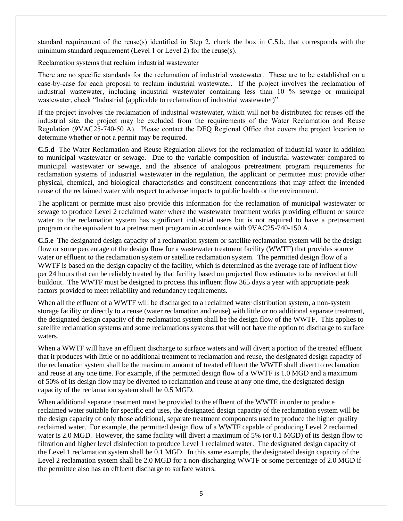standard requirement of the reuse(s) identified in Step 2, check the box in C.5.b. that corresponds with the minimum standard requirement (Level 1 or Level 2) for the reuse(s).

### Reclamation systems that reclaim industrial wastewater

There are no specific standards for the reclamation of industrial wastewater. These are to be established on a case-by-case for each proposal to reclaim industrial wastewater. If the project involves the reclamation of industrial wastewater, including industrial wastewater containing less than 10 % sewage or municipal wastewater, check "Industrial (applicable to reclamation of industrial wastewater)".

If the project involves the reclamation of industrial wastewater, which will not be distributed for reuses off the industrial site, the project may be excluded from the requirements of the Water Reclamation and Reuse Regulation (9VAC25-740-50 A). Please contact the DEQ Regional Office that covers the project location to determine whether or not a permit may be required.

**C.5.d** The Water Reclamation and Reuse Regulation allows for the reclamation of industrial water in addition to municipal wastewater or sewage. Due to the variable composition of industrial wastewater compared to municipal wastewater or sewage, and the absence of analogous pretreatment program requirements for reclamation systems of industrial wastewater in the regulation, the applicant or permittee must provide other physical, chemical, and biological characteristics and constituent concentrations that may affect the intended reuse of the reclaimed water with respect to adverse impacts to public health or the environment.

The applicant or permitte must also provide this information for the reclamation of municipal wastewater or sewage to produce Level 2 reclaimed water where the wastewater treatment works providing effluent or source water to the reclamation system has significant industrial users but is not required to have a pretreatment program or the equivalent to a pretreatment program in accordance with 9VAC25-740-150 A.

**C.5.e** The designated design capacity of a reclamation system or satellite reclamation system will be the design flow or some percentage of the design flow for a wastewater treatment facility (WWTF) that provides source water or effluent to the reclamation system or satellite reclamation system. The permitted design flow of a WWTF is based on the design capacity of the facility, which is determined as the average rate of influent flow per 24 hours that can be reliably treated by that facility based on projected flow estimates to be received at full buildout. The WWTF must be designed to process this influent flow 365 days a year with appropriate peak factors provided to meet reliability and redundancy requirements.

When all the effluent of a WWTF will be discharged to a reclaimed water distribution system, a non-system storage facility or directly to a reuse (water reclamation and reuse) with little or no additional separate treatment, the designated design capacity of the reclamation system shall be the design flow of the WWTF. This applies to satellite reclamation systems and some reclamations systems that will not have the option to discharge to surface waters.

When a WWTF will have an effluent discharge to surface waters and will divert a portion of the treated effluent that it produces with little or no additional treatment to reclamation and reuse, the designated design capacity of the reclamation system shall be the maximum amount of treated effluent the WWTF shall divert to reclamation and reuse at any one time. For example, if the permitted design flow of a WWTF is 1.0 MGD and a maximum of 50% of its design flow may be diverted to reclamation and reuse at any one time, the designated design capacity of the reclamation system shall be 0.5 MGD.

When additional separate treatment must be provided to the effluent of the WWTF in order to produce reclaimed water suitable for specific end uses, the designated design capacity of the reclamation system will be the design capacity of only those additional, separate treatment components used to produce the higher quality reclaimed water. For example, the permitted design flow of a WWTF capable of producing Level 2 reclaimed water is 2.0 MGD. However, the same facility will divert a maximum of 5% (or 0.1 MGD) of its design flow to filtration and higher level disinfection to produce Level 1 reclaimed water. The designated design capacity of the Level 1 reclamation system shall be 0.1 MGD. In this same example, the designated design capacity of the Level 2 reclamation system shall be 2.0 MGD for a non-discharging WWTF or some percentage of 2.0 MGD if the permittee also has an effluent discharge to surface waters.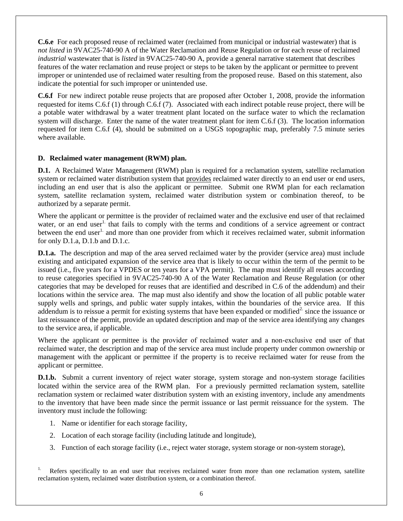**C.6.e** For each proposed reuse of reclaimed water (reclaimed from municipal or industrial wastewater) that is *not listed* in 9VAC25-740-90 A of the Water Reclamation and Reuse Regulation or for each reuse of reclaimed *industrial* wastewater that is *listed* in 9VAC25-740-90 A, provide a general narrative statement that describes features of the water reclamation and reuse project or steps to be taken by the applicant or permittee to prevent improper or unintended use of reclaimed water resulting from the proposed reuse. Based on this statement, also indicate the potential for such improper or unintended use.

**C.6.f** For new indirect potable reuse projects that are proposed after October 1, 2008, provide the information requested for items C.6.f (1) through C.6.f (7). Associated with each indirect potable reuse project, there will be a potable water withdrawal by a water treatment plant located on the surface water to which the reclamation system will discharge. Enter the name of the water treatment plant for item C.6.f (3). The location information requested for item C.6.f (4), should be submitted on a USGS topographic map, preferably 7.5 minute series where available.

#### **D. Reclaimed water management (RWM) plan.**

**D.1.** A Reclaimed Water Management (RWM) plan is required for a reclamation system, satellite reclamation system or reclaimed water distribution system that provides reclaimed water directly to an end user or end users, including an end user that is also the applicant or permittee. Submit one RWM plan for each reclamation system, satellite reclamation system, reclaimed water distribution system or combination thereof, to be authorized by a separate permit.

Where the applicant or permittee is the provider of reclaimed water and the exclusive end user of that reclaimed water, or an end user<sup>1</sup> that fails to comply with the terms and conditions of a service agreement or contract between the end user<sup>1</sup> and more than one provider from which it receives reclaimed water, submit information for only D.1.a, D.1.b and D.1.c.

**D.1.a.** The description and map of the area served reclaimed water by the provider (service area) must include existing and anticipated expansion of the service area that is likely to occur within the term of the permit to be issued (i.e., five years for a VPDES or ten years for a VPA permit). The map must identify all reuses according to reuse categories specified in 9VAC25-740-90 A of the Water Reclamation and Reuse Regulation (or other categories that may be developed for reuses that are identified and described in C.6 of the addendum) and their locations within the service area. The map must also identify and show the location of all public potable water supply wells and springs, and public water supply intakes, within the boundaries of the service area. If this addendum is to reissue a permit for existing systems that have been expanded or modified<sup>2</sup> since the issuance or last reissuance of the permit, provide an updated description and map of the service area identifying any changes to the service area, if applicable.

Where the applicant or permittee is the provider of reclaimed water and a non-exclusive end user of that reclaimed water, the description and map of the service area must include property under common ownership or management with the applicant or permittee if the property is to receive reclaimed water for reuse from the applicant or permittee.

**D.1.b.** Submit a current inventory of reject water storage, system storage and non-system storage facilities located within the service area of the RWM plan. For a previously permitted reclamation system, satellite reclamation system or reclaimed water distribution system with an existing inventory, include any amendments to the inventory that have been made since the permit issuance or last permit reissuance for the system. The inventory must include the following:

- 1. Name or identifier for each storage facility,
- 2. Location of each storage facility (including latitude and longitude),
- 3. Function of each storage facility (i.e., reject water storage, system storage or non-system storage),

Refers specifically to an end user that receives reclaimed water from more than one reclamation system, satellite reclamation system, reclaimed water distribution system, or a combination thereof.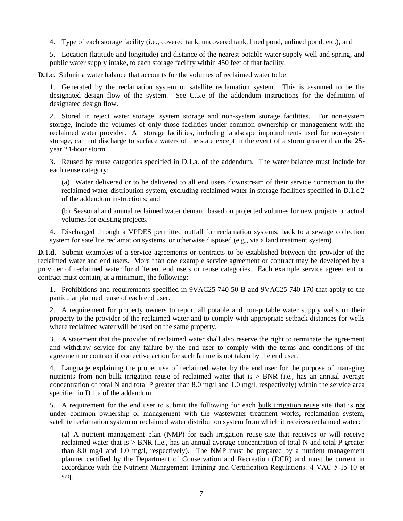4. Type of each storage facility (i.e., covered tank, uncovered tank, lined pond, unlined pond, etc.), and

5. Location (latitude and longitude) and distance of the nearest potable water supply well and spring, and public water supply intake, to each storage facility within 450 feet of that facility.

**D.1.c.** Submit a water balance that accounts for the volumes of reclaimed water to be:

1. Generated by the reclamation system or satellite reclamation system. This is assumed to be the designated design flow of the system. See C.5.e of the addendum instructions for the definition of designated design flow.

2. Stored in reject water storage, system storage and non-system storage facilities. For non-system storage, include the volumes of only those facilities under common ownership or management with the reclaimed water provider. All storage facilities, including landscape impoundments used for non-system storage, can not discharge to surface waters of the state except in the event of a storm greater than the 25 year 24-hour storm.

3. Reused by reuse categories specified in D.1.a. of the addendum. The water balance must include for each reuse category:

(a) Water delivered or to be delivered to all end users downstream of their service connection to the reclaimed water distribution system, excluding reclaimed water in storage facilities specified in D.1.c.2 of the addendum instructions; and

(b) Seasonal and annual reclaimed water demand based on projected volumes for new projects or actual volumes for existing projects.

4. Discharged through a VPDES permitted outfall for reclamation systems, back to a sewage collection system for satellite reclamation systems, or otherwise disposed (e.g., via a land treatment system).

**D.1.d.** Submit examples of a service agreements or contracts to be established between the provider of the reclaimed water and end users. More than one example service agreement or contract may be developed by a provider of reclaimed water for different end users or reuse categories. Each example service agreement or contract must contain, at a minimum, the following:

1. Prohibitions and requirements specified in 9VAC25-740-50 B and 9VAC25-740-170 that apply to the particular planned reuse of each end user.

2. A requirement for property owners to report all potable and non-potable water supply wells on their property to the provider of the reclaimed water and to comply with appropriate setback distances for wells where reclaimed water will be used on the same property.

3. A statement that the provider of reclaimed water shall also reserve the right to terminate the agreement and withdraw service for any failure by the end user to comply with the terms and conditions of the agreement or contract if corrective action for such failure is not taken by the end user.

4. Language explaining the proper use of reclaimed water by the end user for the purpose of managing nutrients from non-bulk irrigation reuse of reclaimed water that is > BNR (i.e., has an annual average concentration of total N and total P greater than 8.0 mg/l and 1.0 mg/l, respectively) within the service area specified in D.1.a of the addendum.

5. A requirement for the end user to submit the following for each bulk irrigation reuse site that is not under common ownership or management with the wastewater treatment works, reclamation system, satellite reclamation system or reclaimed water distribution system from which it receives reclaimed water:

(a) A nutrient management plan (NMP) for each irrigation reuse site that receives or will receive reclaimed water that is > BNR (i.e., has an annual average concentration of total N and total P greater than 8.0 mg/l and 1.0 mg/l, respectively). The NMP must be prepared by a nutrient management planner certified by the Department of Conservation and Recreation (DCR) and must be current in accordance with the Nutrient Management Training and Certification Regulations, 4 VAC 5-15-10 et seq.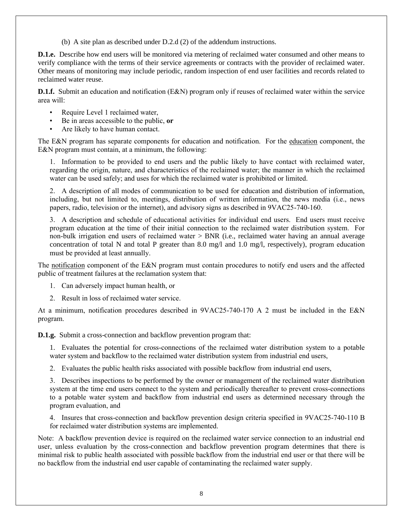(b) A site plan as described under D.2.d (2) of the addendum instructions.

**D.1.e.** Describe how end users will be monitored via metering of reclaimed water consumed and other means to verify compliance with the terms of their service agreements or contracts with the provider of reclaimed water. Other means of monitoring may include periodic, random inspection of end user facilities and records related to reclaimed water reuse.

**D.1.f.** Submit an education and notification (E&N) program only if reuses of reclaimed water within the service area will:

- Require Level 1 reclaimed water,
- Be in areas accessible to the public, **or**
- Are likely to have human contact.

The E&N program has separate components for education and notification. For the education component, the E&N program must contain, at a minimum, the following:

1. Information to be provided to end users and the public likely to have contact with reclaimed water, regarding the origin, nature, and characteristics of the reclaimed water; the manner in which the reclaimed water can be used safely; and uses for which the reclaimed water is prohibited or limited.

2. A description of all modes of communication to be used for education and distribution of information, including, but not limited to, meetings, distribution of written information, the news media (i.e., news papers, radio, television or the internet), and advisory signs as described in 9VAC25-740-160.

3. A description and schedule of educational activities for individual end users. End users must receive program education at the time of their initial connection to the reclaimed water distribution system. For non-bulk irrigation end users of reclaimed water > BNR (i.e., reclaimed water having an annual average concentration of total N and total P greater than 8.0 mg/l and 1.0 mg/l, respectively), program education must be provided at least annually.

The notification component of the E&N program must contain procedures to notify end users and the affected public of treatment failures at the reclamation system that:

- 1. Can adversely impact human health, or
- 2. Result in loss of reclaimed water service.

At a minimum, notification procedures described in 9VAC25-740-170 A 2 must be included in the E&N program.

**D.1.g.** Submit a cross-connection and backflow prevention program that:

1. Evaluates the potential for cross-connections of the reclaimed water distribution system to a potable water system and backflow to the reclaimed water distribution system from industrial end users,

2. Evaluates the public health risks associated with possible backflow from industrial end users,

3. Describes inspections to be performed by the owner or management of the reclaimed water distribution system at the time end users connect to the system and periodically thereafter to prevent cross-connections to a potable water system and backflow from industrial end users as determined necessary through the program evaluation, and

4. Insures that cross-connection and backflow prevention design criteria specified in 9VAC25-740-110 B for reclaimed water distribution systems are implemented.

Note: A backflow prevention device is required on the reclaimed water service connection to an industrial end user, unless evaluation by the cross-connection and backflow prevention program determines that there is minimal risk to public health associated with possible backflow from the industrial end user or that there will be no backflow from the industrial end user capable of contaminating the reclaimed water supply.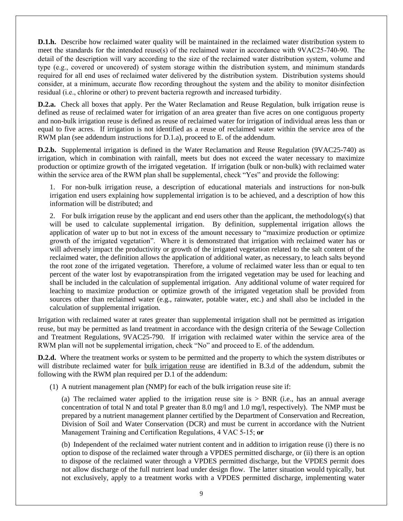**D.1.h.** Describe how reclaimed water quality will be maintained in the reclaimed water distribution system to meet the standards for the intended reuse(s) of the reclaimed water in accordance with 9VAC25-740-90. The detail of the description will vary according to the size of the reclaimed water distribution system, volume and type (e.g., covered or uncovered) of system storage within the distribution system, and minimum standards required for all end uses of reclaimed water delivered by the distribution system. Distribution systems should consider, at a minimum, accurate flow recording throughout the system and the ability to monitor disinfection residual (i.e., chlorine or other) to prevent bacteria regrowth and increased turbidity.

**D.2.a.** Check all boxes that apply. Per the Water Reclamation and Reuse Regulation, bulk irrigation reuse is defined as reuse of reclaimed water for irrigation of an area greater than five acres on one contiguous property and non-bulk irrigation reuse is defined as reuse of reclaimed water for irrigation of individual areas less than or equal to five acres. If irrigation is not identified as a reuse of reclaimed water within the service area of the RWM plan (see addendum instructions for D.1.a), proceed to E. of the addendum.

**D.2.b.** Supplemental irrigation is defined in the Water Reclamation and Reuse Regulation (9VAC25-740) as irrigation, which in combination with rainfall, meets but does not exceed the water necessary to maximize production or optimize growth of the irrigated vegetation. If irrigation (bulk or non-bulk) with reclaimed water within the service area of the RWM plan shall be supplemental, check "Yes" and provide the following:

1. For non-bulk irrigation reuse, a description of educational materials and instructions for non-bulk irrigation end users explaining how supplemental irrigation is to be achieved, and a description of how this information will be distributed; and

2. For bulk irrigation reuse by the applicant and end users other than the applicant, the methodology(s) that will be used to calculate supplemental irrigation. By definition, supplemental irrigation allows the application of water up to but not in excess of the amount necessary to "maximize production or optimize growth of the irrigated vegetation". Where it is demonstrated that irrigation with reclaimed water has or will adversely impact the productivity or growth of the irrigated vegetation related to the salt content of the reclaimed water, the definition allows the application of additional water, as necessary, to leach salts beyond the root zone of the irrigated vegetation. Therefore, a volume of reclaimed water less than or equal to ten percent of the water lost by evapotranspiration from the irrigated vegetation may be used for leaching and shall be included in the calculation of supplemental irrigation. Any additional volume of water required for leaching to maximize production or optimize growth of the irrigated vegetation shall be provided from sources other than reclaimed water (e.g., rainwater, potable water, etc.) and shall also be included in the calculation of supplemental irrigation.

Irrigation with reclaimed water at rates greater than supplemental irrigation shall not be permitted as irrigation reuse, but may be permitted as land treatment in accordance with the design criteria of the Sewage Collection and Treatment Regulations, 9VAC25-790. If irrigation with reclaimed water within the service area of the RWM plan will not be supplemental irrigation, check "No" and proceed to E. of the addendum.

**D.2.d.** Where the treatment works or system to be permitted and the property to which the system distributes or will distribute reclaimed water for bulk irrigation reuse are identified in B.3.d of the addendum, submit the following with the RWM plan required per D.1 of the addendum:

(1) A nutrient management plan (NMP) for each of the bulk irrigation reuse site if:

(a) The reclaimed water applied to the irrigation reuse site is  $>$  BNR (i.e., has an annual average concentration of total N and total P greater than 8.0 mg/l and 1.0 mg/l, respectively). The NMP must be prepared by a nutrient management planner certified by the Department of Conservation and Recreation, Division of Soil and Water Conservation (DCR) and must be current in accordance with the Nutrient Management Training and Certification Regulations, 4 VAC 5-15; **or**

(b) Independent of the reclaimed water nutrient content and in addition to irrigation reuse (i) there is no option to dispose of the reclaimed water through a VPDES permitted discharge, or (ii) there is an option to dispose of the reclaimed water through a VPDES permitted discharge, but the VPDES permit does not allow discharge of the full nutrient load under design flow. The latter situation would typically, but not exclusively, apply to a treatment works with a VPDES permitted discharge, implementing water